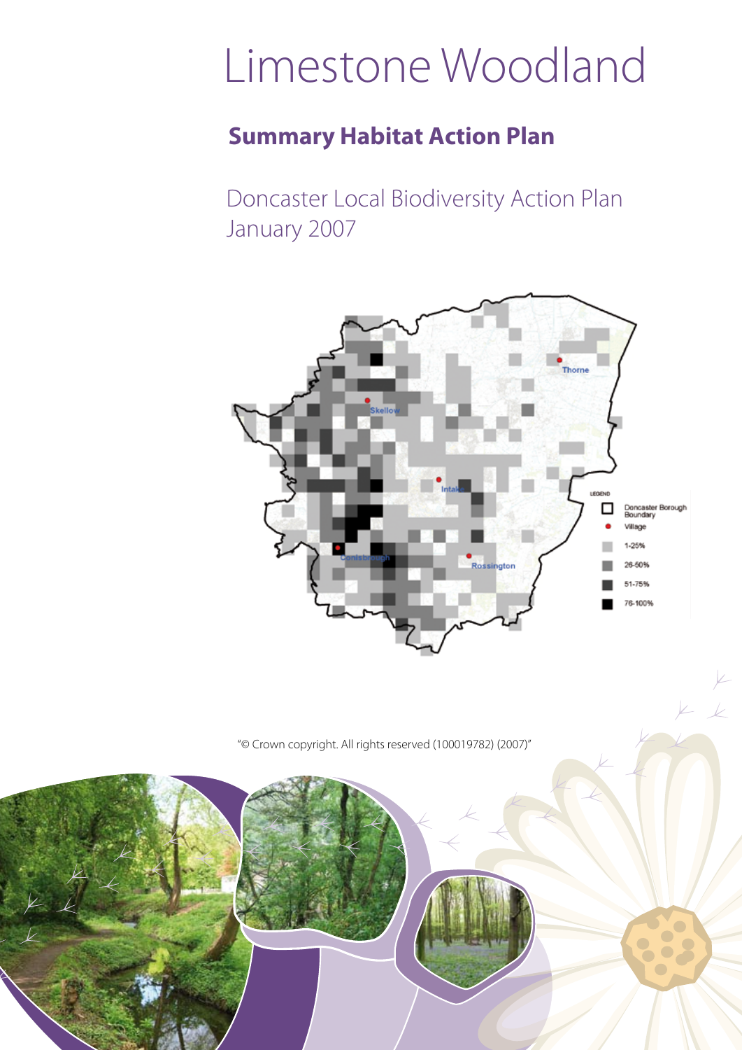# Limestone Woodland

### **Summary Habitat Action Plan**

Doncaster Local Biodiversity Action Plan January 2007



 $V_{-}$ 

"© Crown copyright. All rights reserved (100019782) (2007)"

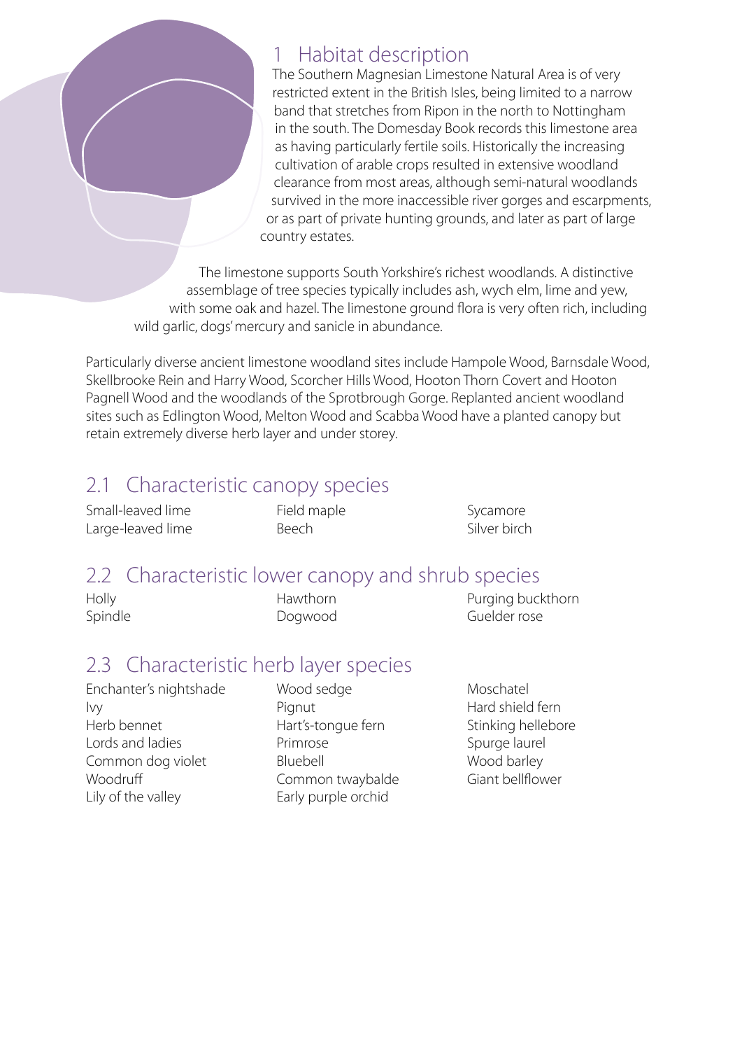

### 1 Habitat description

The Southern Magnesian Limestone Natural Area is of very restricted extent in the British Isles, being limited to a narrow band that stretches from Ripon in the north to Nottingham in the south. The Domesday Book records this limestone area as having particularly fertile soils. Historically the increasing cultivation of arable crops resulted in extensive woodland clearance from most areas, although semi-natural woodlands survived in the more inaccessible river gorges and escarpments, or as part of private hunting grounds, and later as part of large country estates.

The limestone supports South Yorkshire's richest woodlands. A distinctive assemblage of tree species typically includes ash, wych elm, lime and yew, with some oak and hazel. The limestone ground flora is very often rich, including wild garlic, dogs' mercury and sanicle in abundance.

Particularly diverse ancient limestone woodland sites include Hampole Wood, Barnsdale Wood, Skellbrooke Rein and Harry Wood, Scorcher Hills Wood, Hooton Thorn Covert and Hooton Pagnell Wood and the woodlands of the Sprotbrough Gorge. Replanted ancient woodland sites such as Edlington Wood, Melton Wood and Scabba Wood have a planted canopy but retain extremely diverse herb layer and under storey.

### 2.1 Characteristic canopy species

Small-leaved lime Large-leaved lime Field maple Beech

Sycamore Silver birch

### 2.2 Characteristic lower canopy and shrub species

| Holly   | <b>Hawthorn</b> | Purging buckthorn |
|---------|-----------------|-------------------|
| Spindle | Dogwood         | Guelder rose      |

### 2.3 Characteristic herb layer species

Enchanter's nightshade Ivy Herb bennet Lords and ladies Common dog violet **Woodruff** Lily of the valley

Wood sedge Pignut Hart's-tongue fern Primrose Bluebell Common twaybalde Early purple orchid

Moschatel Hard shield fern Stinking hellebore Spurge laurel Wood barley Giant bellflower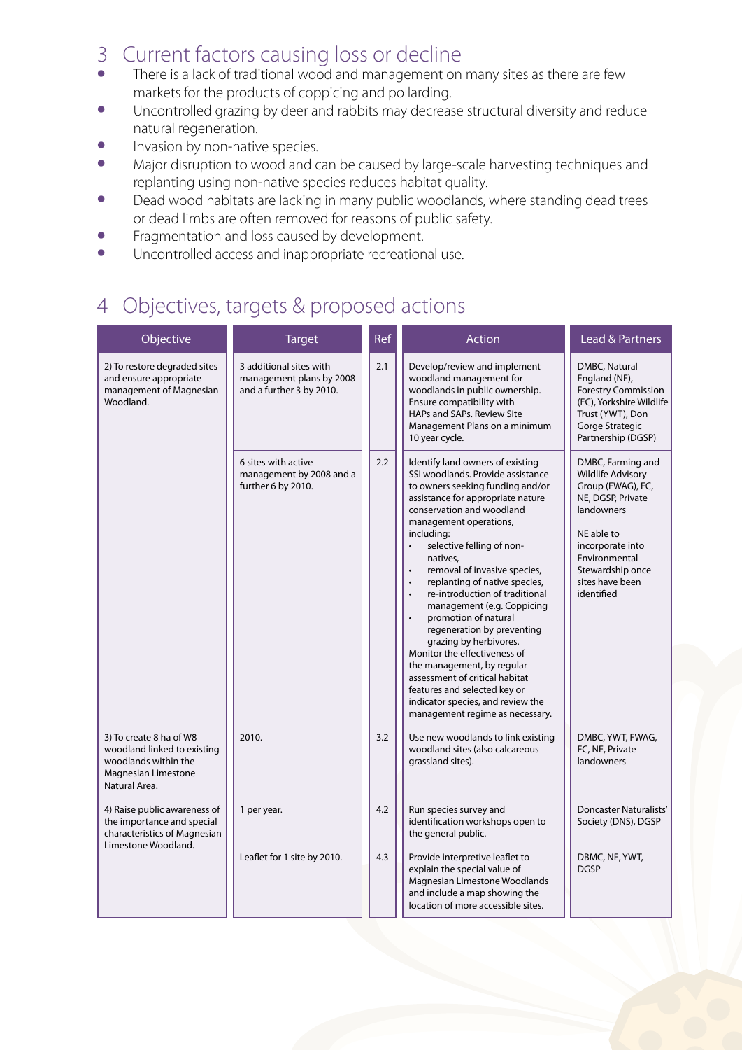# 3 Current factors causing loss or decline

- There is a lack of traditional woodland management on many sites as there are few markets for the products of coppicing and pollarding.
- Uncontrolled grazing by deer and rabbits may decrease structural diversity and reduce natural regeneration.
- Invasion by non-native species.
- Major disruption to woodland can be caused by large-scale harvesting techniques and replanting using non-native species reduces habitat quality.
- Dead wood habitats are lacking in many public woodlands, where standing dead trees or dead limbs are often removed for reasons of public safety.
- Fragmentation and loss caused by development.<br>• Incontrolled access and inappropriate recreation
- Uncontrolled access and inappropriate recreational use.

### 4 Objectives, targets & proposed actions

| Objective                                                                                                              | <b>Target</b>                                                                   | Ref | Action                                                                                                                                                                                                                                                                                                                                                                                                                                                                                                                                                                                                                                                                                                                     | <b>Lead &amp; Partners</b>                                                                                                                                                                                    |
|------------------------------------------------------------------------------------------------------------------------|---------------------------------------------------------------------------------|-----|----------------------------------------------------------------------------------------------------------------------------------------------------------------------------------------------------------------------------------------------------------------------------------------------------------------------------------------------------------------------------------------------------------------------------------------------------------------------------------------------------------------------------------------------------------------------------------------------------------------------------------------------------------------------------------------------------------------------------|---------------------------------------------------------------------------------------------------------------------------------------------------------------------------------------------------------------|
| 2) To restore degraded sites<br>and ensure appropriate<br>management of Magnesian<br>Woodland.                         | 3 additional sites with<br>management plans by 2008<br>and a further 3 by 2010. | 2.1 | Develop/review and implement<br>woodland management for<br>woodlands in public ownership.<br>Ensure compatibility with<br>HAPs and SAPs. Review Site<br>Management Plans on a minimum<br>10 year cycle.                                                                                                                                                                                                                                                                                                                                                                                                                                                                                                                    | DMBC, Natural<br>England (NE),<br><b>Forestry Commission</b><br>(FC), Yorkshire Wildlife<br>Trust (YWT), Don<br>Gorge Strategic<br>Partnership (DGSP)                                                         |
|                                                                                                                        | 6 sites with active<br>management by 2008 and a<br>further 6 by 2010.           | 2.2 | Identify land owners of existing<br>SSI woodlands. Provide assistance<br>to owners seeking funding and/or<br>assistance for appropriate nature<br>conservation and woodland<br>management operations,<br>including:<br>selective felling of non-<br>$\bullet$<br>natives,<br>removal of invasive species,<br>replanting of native species,<br>$\ddot{\phantom{0}}$<br>re-introduction of traditional<br>management (e.g. Coppicing<br>promotion of natural<br>regeneration by preventing<br>grazing by herbivores.<br>Monitor the effectiveness of<br>the management, by regular<br>assessment of critical habitat<br>features and selected key or<br>indicator species, and review the<br>management regime as necessary. | DMBC, Farming and<br><b>Wildlife Advisory</b><br>Group (FWAG), FC,<br>NE, DGSP, Private<br>landowners<br>NE able to<br>incorporate into<br>Environmental<br>Stewardship once<br>sites have been<br>identified |
| 3) To create 8 ha of W8<br>woodland linked to existing<br>woodlands within the<br>Magnesian Limestone<br>Natural Area. | 2010.                                                                           | 3.2 | Use new woodlands to link existing<br>woodland sites (also calcareous<br>grassland sites).                                                                                                                                                                                                                                                                                                                                                                                                                                                                                                                                                                                                                                 | DMBC, YWT, FWAG,<br>FC, NE, Private<br>landowners                                                                                                                                                             |
| 4) Raise public awareness of<br>the importance and special<br>characteristics of Magnesian<br>Limestone Woodland.      | 1 per year.                                                                     | 4.2 | Run species survey and<br>identification workshops open to<br>the general public.                                                                                                                                                                                                                                                                                                                                                                                                                                                                                                                                                                                                                                          | Doncaster Naturalists'<br>Society (DNS), DGSP                                                                                                                                                                 |
|                                                                                                                        | Leaflet for 1 site by 2010.                                                     | 4.3 | Provide interpretive leaflet to<br>explain the special value of<br>Magnesian Limestone Woodlands<br>and include a map showing the<br>location of more accessible sites.                                                                                                                                                                                                                                                                                                                                                                                                                                                                                                                                                    | DBMC, NE, YWT,<br><b>DGSP</b>                                                                                                                                                                                 |